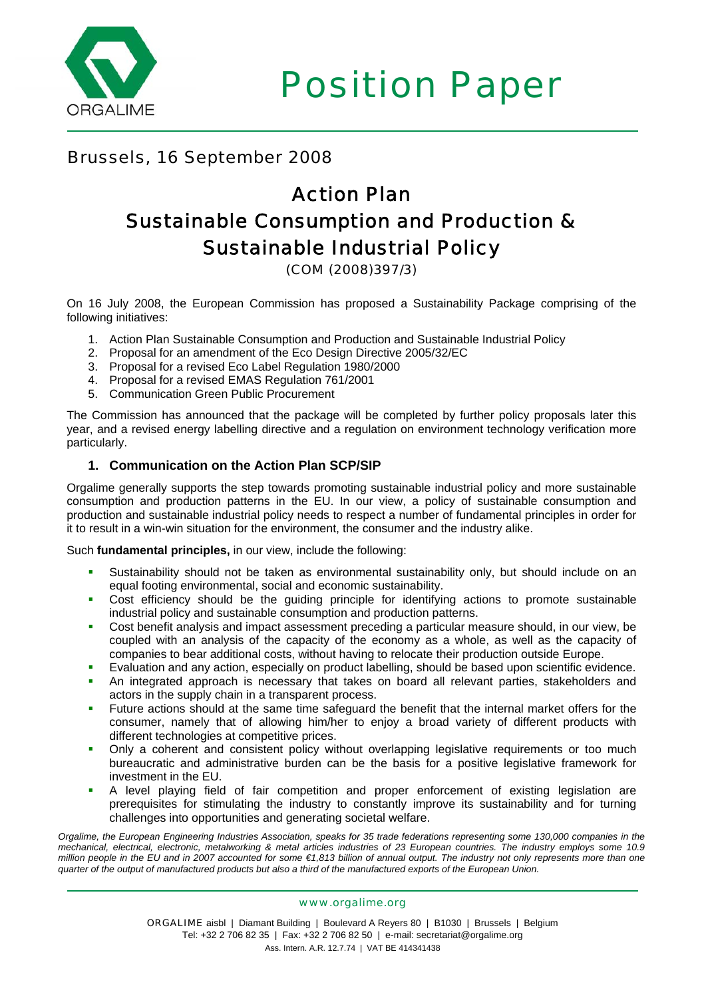

Position Paper

# Brussels, 16 September 2008

# Action Plan Sustainable Consumption and Production & Sustainable Industrial Policy

(COM (2008)397/3)

On 16 July 2008, the European Commission has proposed a Sustainability Package comprising of the following initiatives:

- 1. Action Plan Sustainable Consumption and Production and Sustainable Industrial Policy
- 2. Proposal for an amendment of the Eco Design Directive 2005/32/EC
- 3. Proposal for a revised Eco Label Regulation 1980/2000
- 4. Proposal for a revised EMAS Regulation 761/2001
- 5. Communication Green Public Procurement

The Commission has announced that the package will be completed by further policy proposals later this year, and a revised energy labelling directive and a regulation on environment technology verification more particularly.

#### **1. Communication on the Action Plan SCP/SIP**

Orgalime generally supports the step towards promoting sustainable industrial policy and more sustainable consumption and production patterns in the EU. In our view, a policy of sustainable consumption and production and sustainable industrial policy needs to respect a number of fundamental principles in order for it to result in a win-win situation for the environment, the consumer and the industry alike.

Such **fundamental principles,** in our view, include the following:

- Sustainability should not be taken as environmental sustainability only, but should include on an equal footing environmental, social and economic sustainability.
- Cost efficiency should be the guiding principle for identifying actions to promote sustainable industrial policy and sustainable consumption and production patterns.
- Cost benefit analysis and impact assessment preceding a particular measure should, in our view, be coupled with an analysis of the capacity of the economy as a whole, as well as the capacity of companies to bear additional costs, without having to relocate their production outside Europe.
- Evaluation and any action, especially on product labelling, should be based upon scientific evidence.
- An integrated approach is necessary that takes on board all relevant parties, stakeholders and actors in the supply chain in a transparent process.
- Future actions should at the same time safeguard the benefit that the internal market offers for the consumer, namely that of allowing him/her to enjoy a broad variety of different products with different technologies at competitive prices.
- Only a coherent and consistent policy without overlapping legislative requirements or too much bureaucratic and administrative burden can be the basis for a positive legislative framework for investment in the EU.
- A level playing field of fair competition and proper enforcement of existing legislation are prerequisites for stimulating the industry to constantly improve its sustainability and for turning challenges into opportunities and generating societal welfare.

*Orgalime, the European Engineering Industries Association, speaks for 35 trade federations representing some 130,000 companies in the mechanical, electrical, electronic, metalworking & metal articles industries of 23 European countries. The industry employs some 10.9 million people in the EU and in 2007 accounted for some €1,813 billion of annual output. The industry not only represents more than one quarter of the output of manufactured products but also a third of the manufactured exports of the European Union.* 

#### www.orgalime.org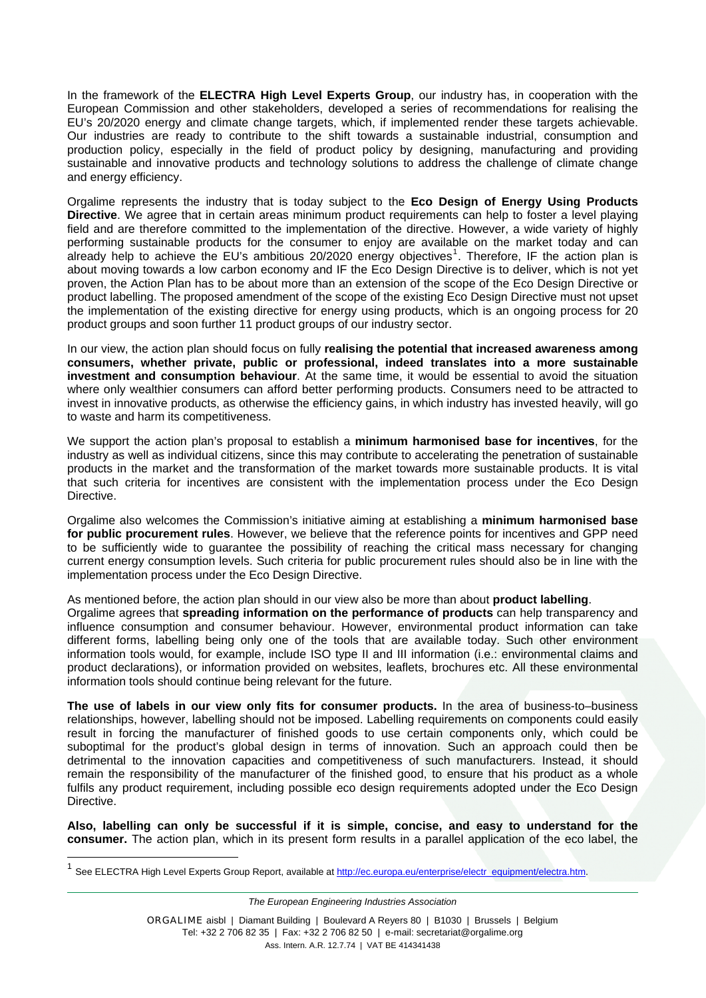In the framework of the **ELECTRA High Level Experts Group**, our industry has, in cooperation with the European Commission and other stakeholders, developed a series of recommendations for realising the EU's 20/2020 energy and climate change targets, which, if implemented render these targets achievable. Our industries are ready to contribute to the shift towards a sustainable industrial, consumption and production policy, especially in the field of product policy by designing, manufacturing and providing sustainable and innovative products and technology solutions to address the challenge of climate change and energy efficiency.

Orgalime represents the industry that is today subject to the **Eco Design of Energy Using Products Directive**. We agree that in certain areas minimum product requirements can help to foster a level playing field and are therefore committed to the implementation of the directive. However, a wide variety of highly performing sustainable products for the consumer to enjoy are available on the market today and can already help to achieve the EU's ambitious 20/2020 energy objectives<sup>[1](#page-1-0)</sup>. Therefore, IF the action plan is about moving towards a low carbon economy and IF the Eco Design Directive is to deliver, which is not yet proven, the Action Plan has to be about more than an extension of the scope of the Eco Design Directive or product labelling. The proposed amendment of the scope of the existing Eco Design Directive must not upset the implementation of the existing directive for energy using products, which is an ongoing process for 20 product groups and soon further 11 product groups of our industry sector.

In our view, the action plan should focus on fully **realising the potential that increased awareness among consumers, whether private, public or professional, indeed translates into a more sustainable investment and consumption behaviour**. At the same time, it would be essential to avoid the situation where only wealthier consumers can afford better performing products. Consumers need to be attracted to invest in innovative products, as otherwise the efficiency gains, in which industry has invested heavily, will go to waste and harm its competitiveness.

We support the action plan's proposal to establish a **minimum harmonised base for incentives**, for the industry as well as individual citizens, since this may contribute to accelerating the penetration of sustainable products in the market and the transformation of the market towards more sustainable products. It is vital that such criteria for incentives are consistent with the implementation process under the Eco Design Directive.

Orgalime also welcomes the Commission's initiative aiming at establishing a **minimum harmonised base for public procurement rules**. However, we believe that the reference points for incentives and GPP need to be sufficiently wide to guarantee the possibility of reaching the critical mass necessary for changing current energy consumption levels. Such criteria for public procurement rules should also be in line with the implementation process under the Eco Design Directive.

As mentioned before, the action plan should in our view also be more than about **product labelling**.

Orgalime agrees that **spreading information on the performance of products** can help transparency and influence consumption and consumer behaviour. However, environmental product information can take different forms, labelling being only one of the tools that are available today. Such other environment information tools would, for example, include ISO type II and III information (i.e.: environmental claims and product declarations), or information provided on websites, leaflets, brochures etc. All these environmental information tools should continue being relevant for the future.

**The use of labels in our view only fits for consumer products.** In the area of business-to–business relationships, however, labelling should not be imposed. Labelling requirements on components could easily result in forcing the manufacturer of finished goods to use certain components only, which could be suboptimal for the product's global design in terms of innovation. Such an approach could then be detrimental to the innovation capacities and competitiveness of such manufacturers. Instead, it should remain the responsibility of the manufacturer of the finished good, to ensure that his product as a whole fulfils any product requirement, including possible eco design requirements adopted under the Eco Design Directive.

**Also, labelling can only be successful if it is simple, concise, and easy to understand for the consumer.** The action plan, which in its present form results in a parallel application of the eco label, the

*The European Engineering Industries Association* 

<span id="page-1-0"></span><sup>&</sup>lt;sup>1</sup> See ELECTRA High Level Experts Group Report, available at [http://ec.europa.eu/enterprise/electr\\_equipment/electra.htm](http://ec.europa.eu/enterprise/electr_equipment/electra.htm).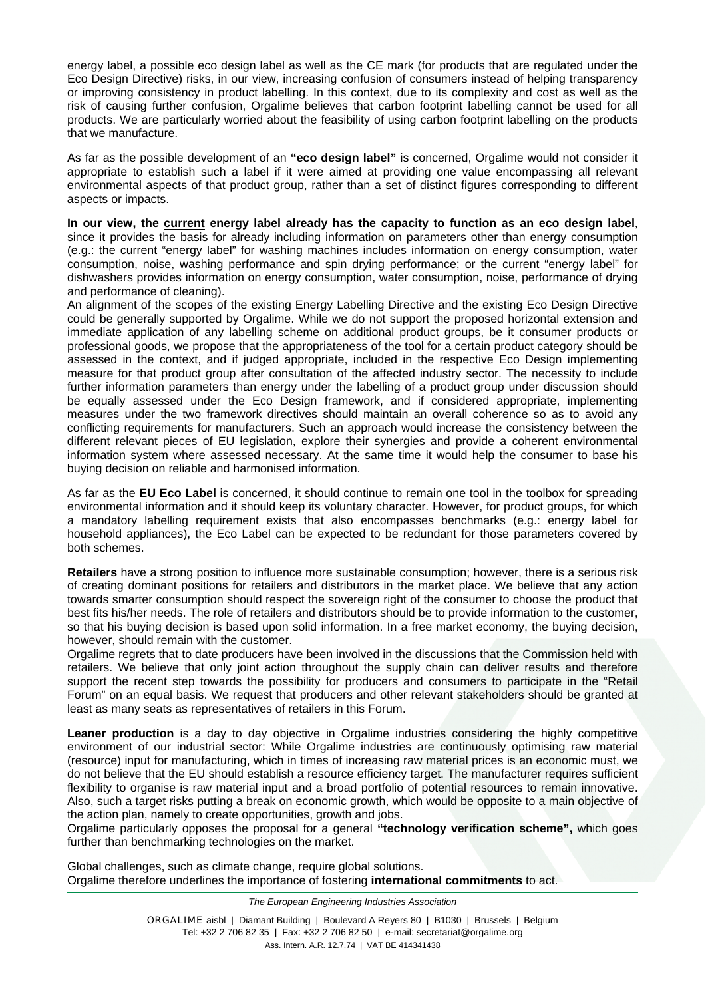energy label, a possible eco design label as well as the CE mark (for products that are regulated under the Eco Design Directive) risks, in our view, increasing confusion of consumers instead of helping transparency or improving consistency in product labelling. In this context, due to its complexity and cost as well as the risk of causing further confusion, Orgalime believes that carbon footprint labelling cannot be used for all products. We are particularly worried about the feasibility of using carbon footprint labelling on the products that we manufacture.

As far as the possible development of an **"eco design label"** is concerned, Orgalime would not consider it appropriate to establish such a label if it were aimed at providing one value encompassing all relevant environmental aspects of that product group, rather than a set of distinct figures corresponding to different aspects or impacts.

**In our view, the current energy label already has the capacity to function as an eco design label**, since it provides the basis for already including information on parameters other than energy consumption (e.g.: the current "energy label" for washing machines includes information on energy consumption, water consumption, noise, washing performance and spin drying performance; or the current "energy label" for dishwashers provides information on energy consumption, water consumption, noise, performance of drying and performance of cleaning).

An alignment of the scopes of the existing Energy Labelling Directive and the existing Eco Design Directive could be generally supported by Orgalime. While we do not support the proposed horizontal extension and immediate application of any labelling scheme on additional product groups, be it consumer products or professional goods, we propose that the appropriateness of the tool for a certain product category should be assessed in the context, and if judged appropriate, included in the respective Eco Design implementing measure for that product group after consultation of the affected industry sector. The necessity to include further information parameters than energy under the labelling of a product group under discussion should be equally assessed under the Eco Design framework, and if considered appropriate, implementing measures under the two framework directives should maintain an overall coherence so as to avoid any conflicting requirements for manufacturers. Such an approach would increase the consistency between the different relevant pieces of EU legislation, explore their synergies and provide a coherent environmental information system where assessed necessary. At the same time it would help the consumer to base his buying decision on reliable and harmonised information.

As far as the **EU Eco Label** is concerned, it should continue to remain one tool in the toolbox for spreading environmental information and it should keep its voluntary character. However, for product groups, for which a mandatory labelling requirement exists that also encompasses benchmarks (e.g.: energy label for household appliances), the Eco Label can be expected to be redundant for those parameters covered by both schemes.

**Retailers** have a strong position to influence more sustainable consumption; however, there is a serious risk of creating dominant positions for retailers and distributors in the market place. We believe that any action towards smarter consumption should respect the sovereign right of the consumer to choose the product that best fits his/her needs. The role of retailers and distributors should be to provide information to the customer, so that his buying decision is based upon solid information. In a free market economy, the buying decision, however, should remain with the customer.

Orgalime regrets that to date producers have been involved in the discussions that the Commission held with retailers. We believe that only joint action throughout the supply chain can deliver results and therefore support the recent step towards the possibility for producers and consumers to participate in the "Retail Forum" on an equal basis. We request that producers and other relevant stakeholders should be granted at least as many seats as representatives of retailers in this Forum.

**Leaner production** is a day to day objective in Orgalime industries considering the highly competitive environment of our industrial sector: While Orgalime industries are continuously optimising raw material (resource) input for manufacturing, which in times of increasing raw material prices is an economic must, we do not believe that the EU should establish a resource efficiency target. The manufacturer requires sufficient flexibility to organise is raw material input and a broad portfolio of potential resources to remain innovative. Also, such a target risks putting a break on economic growth, which would be opposite to a main objective of the action plan, namely to create opportunities, growth and jobs.

Orgalime particularly opposes the proposal for a general **"technology verification scheme",** which goes further than benchmarking technologies on the market.

Global challenges, such as climate change, require global solutions. Orgalime therefore underlines the importance of fostering **international commitments** to act.

*The European Engineering Industries Association*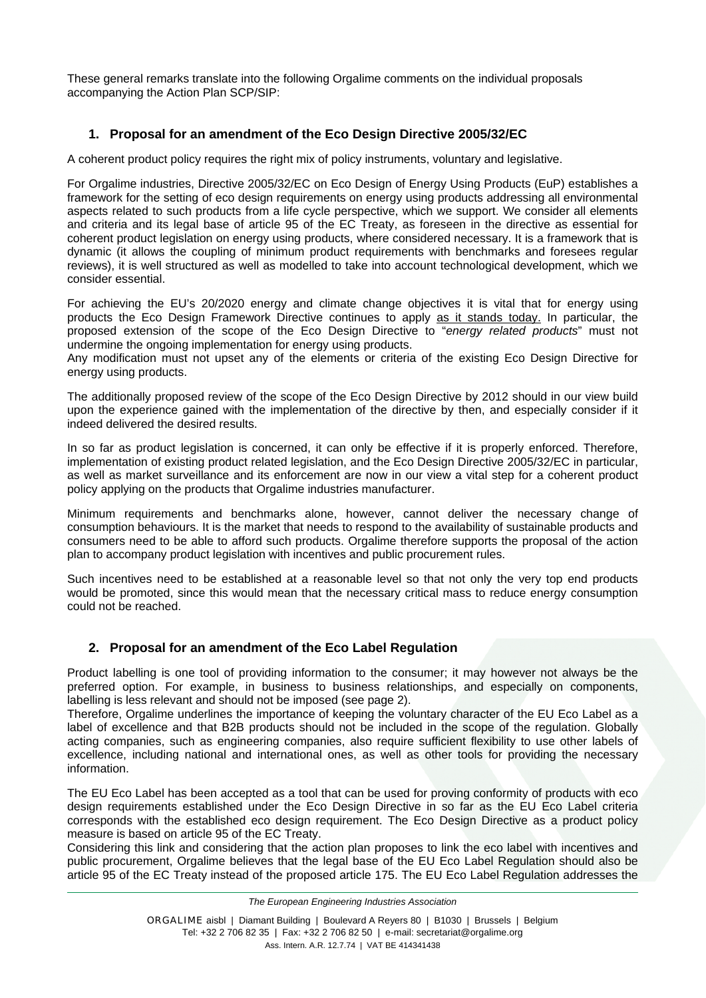These general remarks translate into the following Orgalime comments on the individual proposals accompanying the Action Plan SCP/SIP:

### **1. Proposal for an amendment of the Eco Design Directive 2005/32/EC**

A coherent product policy requires the right mix of policy instruments, voluntary and legislative.

For Orgalime industries, Directive 2005/32/EC on Eco Design of Energy Using Products (EuP) establishes a framework for the setting of eco design requirements on energy using products addressing all environmental aspects related to such products from a life cycle perspective, which we support. We consider all elements and criteria and its legal base of article 95 of the EC Treaty, as foreseen in the directive as essential for coherent product legislation on energy using products, where considered necessary. It is a framework that is dynamic (it allows the coupling of minimum product requirements with benchmarks and foresees regular reviews), it is well structured as well as modelled to take into account technological development, which we consider essential.

For achieving the EU's 20/2020 energy and climate change objectives it is vital that for energy using products the Eco Design Framework Directive continues to apply as it stands today. In particular, the proposed extension of the scope of the Eco Design Directive to "*energy related products*" must not undermine the ongoing implementation for energy using products.

Any modification must not upset any of the elements or criteria of the existing Eco Design Directive for energy using products.

The additionally proposed review of the scope of the Eco Design Directive by 2012 should in our view build upon the experience gained with the implementation of the directive by then, and especially consider if it indeed delivered the desired results.

In so far as product legislation is concerned, it can only be effective if it is properly enforced. Therefore, implementation of existing product related legislation, and the Eco Design Directive 2005/32/EC in particular, as well as market surveillance and its enforcement are now in our view a vital step for a coherent product policy applying on the products that Orgalime industries manufacturer.

Minimum requirements and benchmarks alone, however, cannot deliver the necessary change of consumption behaviours. It is the market that needs to respond to the availability of sustainable products and consumers need to be able to afford such products. Orgalime therefore supports the proposal of the action plan to accompany product legislation with incentives and public procurement rules.

Such incentives need to be established at a reasonable level so that not only the very top end products would be promoted, since this would mean that the necessary critical mass to reduce energy consumption could not be reached.

#### **2. Proposal for an amendment of the Eco Label Regulation**

Product labelling is one tool of providing information to the consumer; it may however not always be the preferred option. For example, in business to business relationships, and especially on components, labelling is less relevant and should not be imposed (see page 2).

Therefore, Orgalime underlines the importance of keeping the voluntary character of the EU Eco Label as a label of excellence and that B2B products should not be included in the scope of the regulation. Globally acting companies, such as engineering companies, also require sufficient flexibility to use other labels of excellence, including national and international ones, as well as other tools for providing the necessary information.

The EU Eco Label has been accepted as a tool that can be used for proving conformity of products with eco design requirements established under the Eco Design Directive in so far as the EU Eco Label criteria corresponds with the established eco design requirement. The Eco Design Directive as a product policy measure is based on article 95 of the EC Treaty.

Considering this link and considering that the action plan proposes to link the eco label with incentives and public procurement, Orgalime believes that the legal base of the EU Eco Label Regulation should also be article 95 of the EC Treaty instead of the proposed article 175. The EU Eco Label Regulation addresses the

*The European Engineering Industries Association*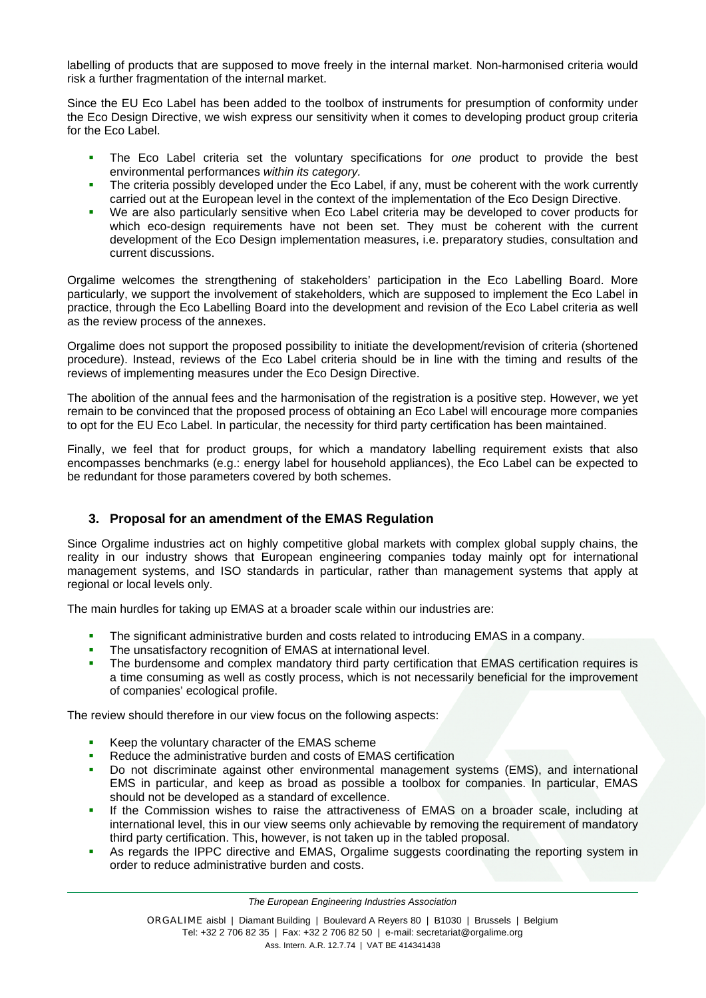labelling of products that are supposed to move freely in the internal market. Non-harmonised criteria would risk a further fragmentation of the internal market.

Since the EU Eco Label has been added to the toolbox of instruments for presumption of conformity under the Eco Design Directive, we wish express our sensitivity when it comes to developing product group criteria for the Eco Label.

- The Eco Label criteria set the voluntary specifications for *one* product to provide the best environmental performances *within its category.*
- The criteria possibly developed under the Eco Label, if any, must be coherent with the work currently carried out at the European level in the context of the implementation of the Eco Design Directive.
- We are also particularly sensitive when Eco Label criteria may be developed to cover products for which eco-design requirements have not been set. They must be coherent with the current development of the Eco Design implementation measures, i.e. preparatory studies, consultation and current discussions.

Orgalime welcomes the strengthening of stakeholders' participation in the Eco Labelling Board. More particularly, we support the involvement of stakeholders, which are supposed to implement the Eco Label in practice, through the Eco Labelling Board into the development and revision of the Eco Label criteria as well as the review process of the annexes.

Orgalime does not support the proposed possibility to initiate the development/revision of criteria (shortened procedure). Instead, reviews of the Eco Label criteria should be in line with the timing and results of the reviews of implementing measures under the Eco Design Directive.

The abolition of the annual fees and the harmonisation of the registration is a positive step. However, we yet remain to be convinced that the proposed process of obtaining an Eco Label will encourage more companies to opt for the EU Eco Label. In particular, the necessity for third party certification has been maintained.

Finally, we feel that for product groups, for which a mandatory labelling requirement exists that also encompasses benchmarks (e.g.: energy label for household appliances), the Eco Label can be expected to be redundant for those parameters covered by both schemes.

## **3. Proposal for an amendment of the EMAS Regulation**

Since Orgalime industries act on highly competitive global markets with complex global supply chains, the reality in our industry shows that European engineering companies today mainly opt for international management systems, and ISO standards in particular, rather than management systems that apply at regional or local levels only.

The main hurdles for taking up EMAS at a broader scale within our industries are:

- The significant administrative burden and costs related to introducing EMAS in a company.
- The unsatisfactory recognition of EMAS at international level.
- The burdensome and complex mandatory third party certification that EMAS certification requires is a time consuming as well as costly process, which is not necessarily beneficial for the improvement of companies' ecological profile.

The review should therefore in our view focus on the following aspects:

- Keep the voluntary character of the EMAS scheme
- Reduce the administrative burden and costs of EMAS certification
- Do not discriminate against other environmental management systems (EMS), and international EMS in particular, and keep as broad as possible a toolbox for companies. In particular, EMAS should not be developed as a standard of excellence.
- If the Commission wishes to raise the attractiveness of EMAS on a broader scale, including at international level, this in our view seems only achievable by removing the requirement of mandatory third party certification. This, however, is not taken up in the tabled proposal.
- As regards the IPPC directive and EMAS, Orgalime suggests coordinating the reporting system in order to reduce administrative burden and costs.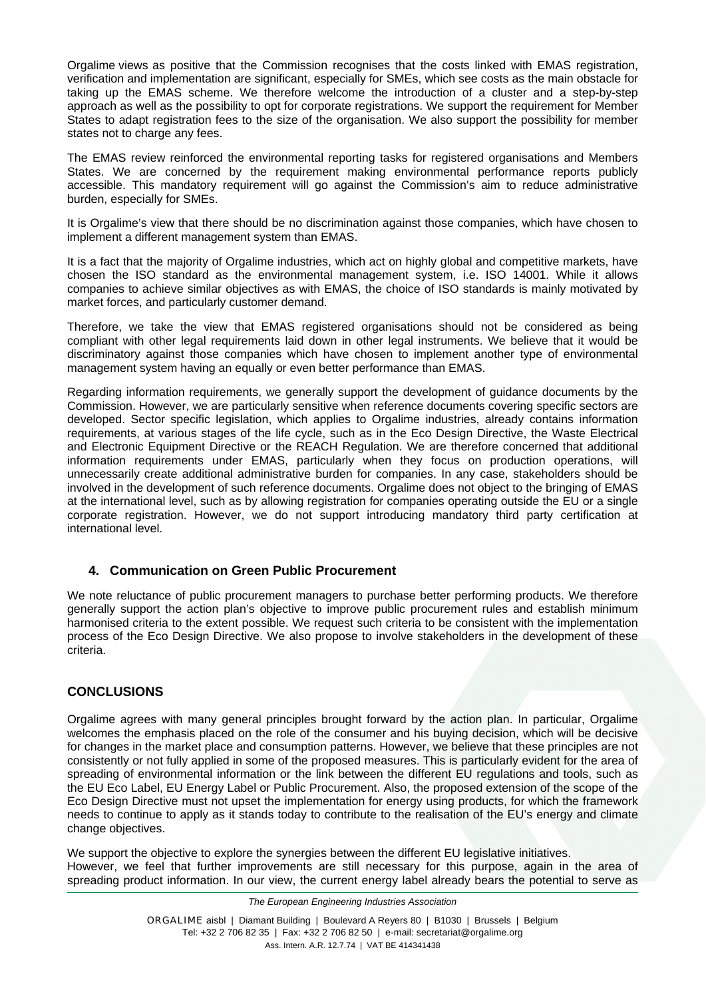Orgalime views as positive that the Commission recognises that the costs linked with EMAS registration, verification and implementation are significant, especially for SMEs, which see costs as the main obstacle for taking up the EMAS scheme. We therefore welcome the introduction of a cluster and a step-by-step approach as well as the possibility to opt for corporate registrations. We support the requirement for Member States to adapt registration fees to the size of the organisation. We also support the possibility for member states not to charge any fees.

The EMAS review reinforced the environmental reporting tasks for registered organisations and Members States. We are concerned by the requirement making environmental performance reports publicly accessible. This mandatory requirement will go against the Commission's aim to reduce administrative burden, especially for SMEs.

It is Orgalime's view that there should be no discrimination against those companies, which have chosen to implement a different management system than EMAS.

It is a fact that the majority of Orgalime industries, which act on highly global and competitive markets, have chosen the ISO standard as the environmental management system, i.e. ISO 14001. While it allows companies to achieve similar objectives as with EMAS, the choice of ISO standards is mainly motivated by market forces, and particularly customer demand.

Therefore, we take the view that EMAS registered organisations should not be considered as being compliant with other legal requirements laid down in other legal instruments. We believe that it would be discriminatory against those companies which have chosen to implement another type of environmental management system having an equally or even better performance than EMAS.

Regarding information requirements, we generally support the development of guidance documents by the Commission. However, we are particularly sensitive when reference documents covering specific sectors are developed. Sector specific legislation, which applies to Orgalime industries, already contains information requirements, at various stages of the life cycle, such as in the Eco Design Directive, the Waste Electrical and Electronic Equipment Directive or the REACH Regulation. We are therefore concerned that additional information requirements under EMAS, particularly when they focus on production operations, will unnecessarily create additional administrative burden for companies. In any case, stakeholders should be involved in the development of such reference documents. Orgalime does not object to the bringing of EMAS at the international level, such as by allowing registration for companies operating outside the EU or a single corporate registration. However, we do not support introducing mandatory third party certification at international level.

#### **4. Communication on Green Public Procurement**

We note reluctance of public procurement managers to purchase better performing products. We therefore generally support the action plan's objective to improve public procurement rules and establish minimum harmonised criteria to the extent possible. We request such criteria to be consistent with the implementation process of the Eco Design Directive. We also propose to involve stakeholders in the development of these criteria.

#### **CONCLUSIONS**

Orgalime agrees with many general principles brought forward by the action plan. In particular, Orgalime welcomes the emphasis placed on the role of the consumer and his buying decision, which will be decisive for changes in the market place and consumption patterns. However, we believe that these principles are not consistently or not fully applied in some of the proposed measures. This is particularly evident for the area of spreading of environmental information or the link between the different EU regulations and tools, such as the EU Eco Label, EU Energy Label or Public Procurement. Also, the proposed extension of the scope of the Eco Design Directive must not upset the implementation for energy using products, for which the framework needs to continue to apply as it stands today to contribute to the realisation of the EU's energy and climate change objectives.

We support the objective to explore the synergies between the different EU legislative initiatives. However, we feel that further improvements are still necessary for this purpose, again in the area of spreading product information. In our view, the current energy label already bears the potential to serve as